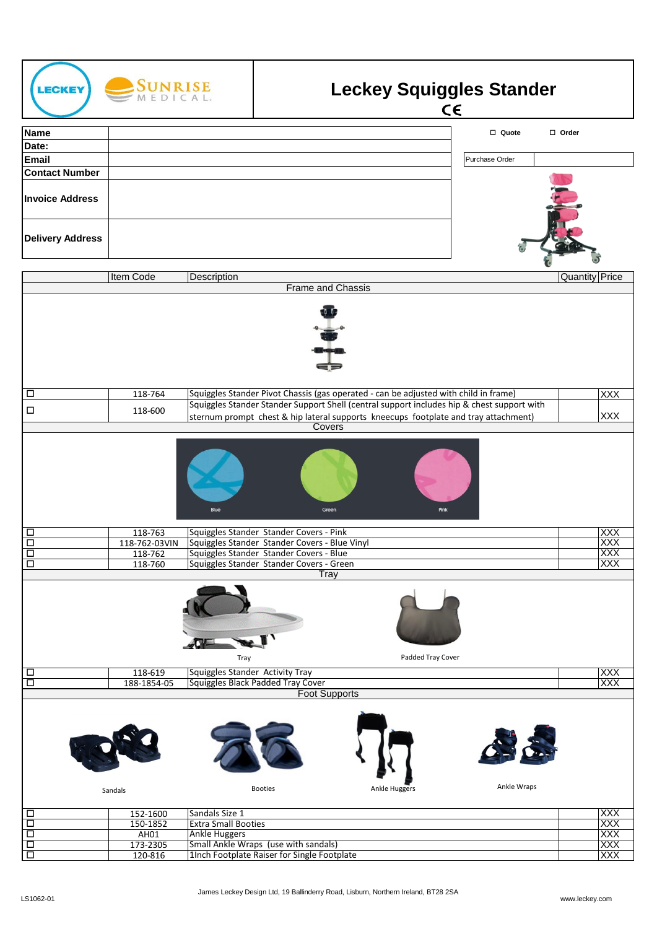